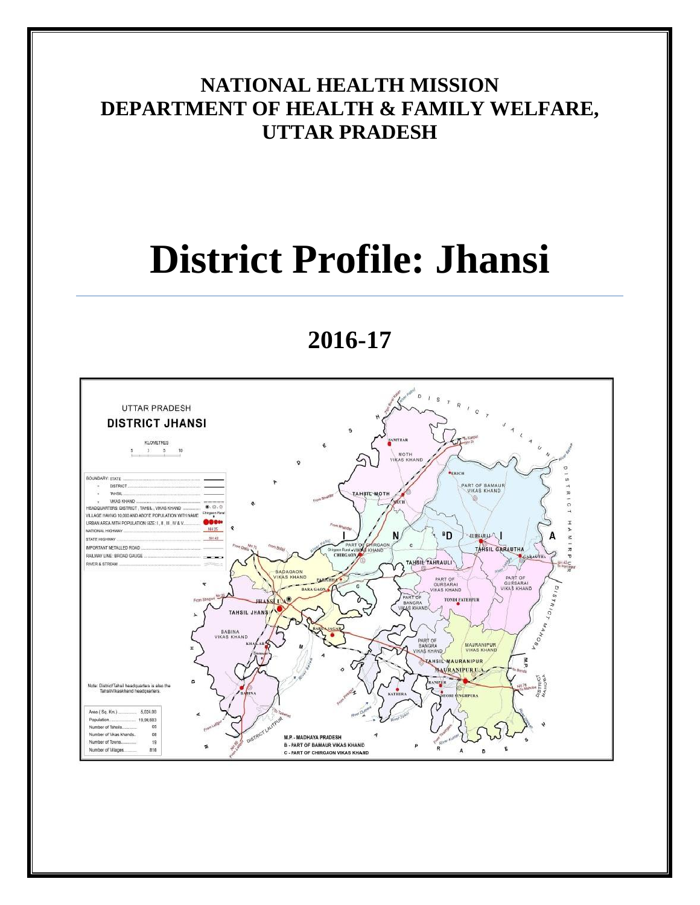# **NATIONAL HEALTH MISSION DEPARTMENT OF HEALTH & FAMILY WELFARE, UTTAR PRADESH**

# **District Profile: Jhansi**

# **2016-17**

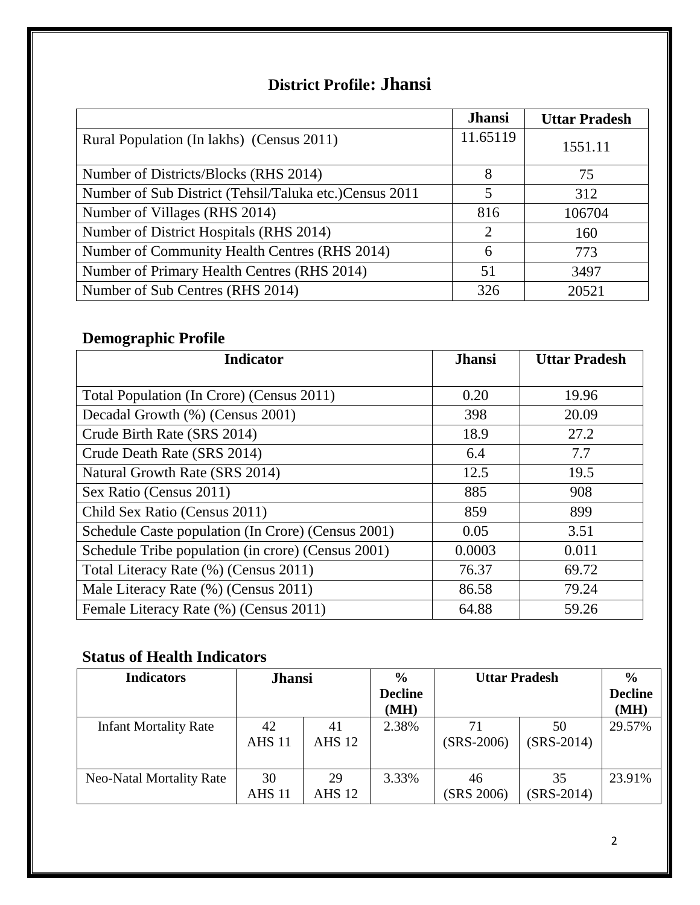# **District Profile: Jhansi**

|                                                        | <b>Jhansi</b> | <b>Uttar Pradesh</b> |
|--------------------------------------------------------|---------------|----------------------|
| Rural Population (In lakhs) (Census 2011)              | 11.65119      | 1551.11              |
| Number of Districts/Blocks (RHS 2014)                  | 8             | 75                   |
| Number of Sub District (Tehsil/Taluka etc.)Census 2011 | 5             | 312                  |
| Number of Villages (RHS 2014)                          | 816           | 106704               |
| Number of District Hospitals (RHS 2014)                | 2             | 160                  |
| Number of Community Health Centres (RHS 2014)          | 6             | 773                  |
| Number of Primary Health Centres (RHS 2014)            | 51            | 3497                 |
| Number of Sub Centres (RHS 2014)                       | 326           | 20521                |

# **Demographic Profile**

| <b>Indicator</b>                                   | <b>Jhansi</b> | <b>Uttar Pradesh</b> |
|----------------------------------------------------|---------------|----------------------|
|                                                    |               |                      |
| Total Population (In Crore) (Census 2011)          | 0.20          | 19.96                |
| Decadal Growth (%) (Census 2001)                   | 398           | 20.09                |
| Crude Birth Rate (SRS 2014)                        | 18.9          | 27.2                 |
| Crude Death Rate (SRS 2014)                        | 6.4           | 7.7                  |
| Natural Growth Rate (SRS 2014)                     | 12.5          | 19.5                 |
| Sex Ratio (Census 2011)                            | 885           | 908                  |
| Child Sex Ratio (Census 2011)                      | 859           | 899                  |
| Schedule Caste population (In Crore) (Census 2001) | 0.05          | 3.51                 |
| Schedule Tribe population (in crore) (Census 2001) | 0.0003        | 0.011                |
| Total Literacy Rate (%) (Census 2011)              | 76.37         | 69.72                |
| Male Literacy Rate (%) (Census 2011)               | 86.58         | 79.24                |
| Female Literacy Rate (%) (Census 2011)             | 64.88         | 59.26                |

# **Status of Health Indicators**

| <b>Indicators</b>            | <b>Jhansi</b>       |                     | $\frac{6}{6}$<br><b>Decline</b><br>(MH) | <b>Uttar Pradesh</b> |                    | $\frac{6}{9}$<br><b>Decline</b><br>(MH) |
|------------------------------|---------------------|---------------------|-----------------------------------------|----------------------|--------------------|-----------------------------------------|
| <b>Infant Mortality Rate</b> | 42<br><b>AHS 11</b> | 41<br><b>AHS 12</b> | 2.38%                                   | 71<br>$(SRS-2006)$   | 50<br>$(SRS-2014)$ | 29.57%                                  |
| Neo-Natal Mortality Rate     | 30<br><b>AHS 11</b> | 29<br><b>AHS 12</b> | 3.33%                                   | 46<br>(SRS 2006)     | 35<br>$(SRS-2014)$ | 23.91%                                  |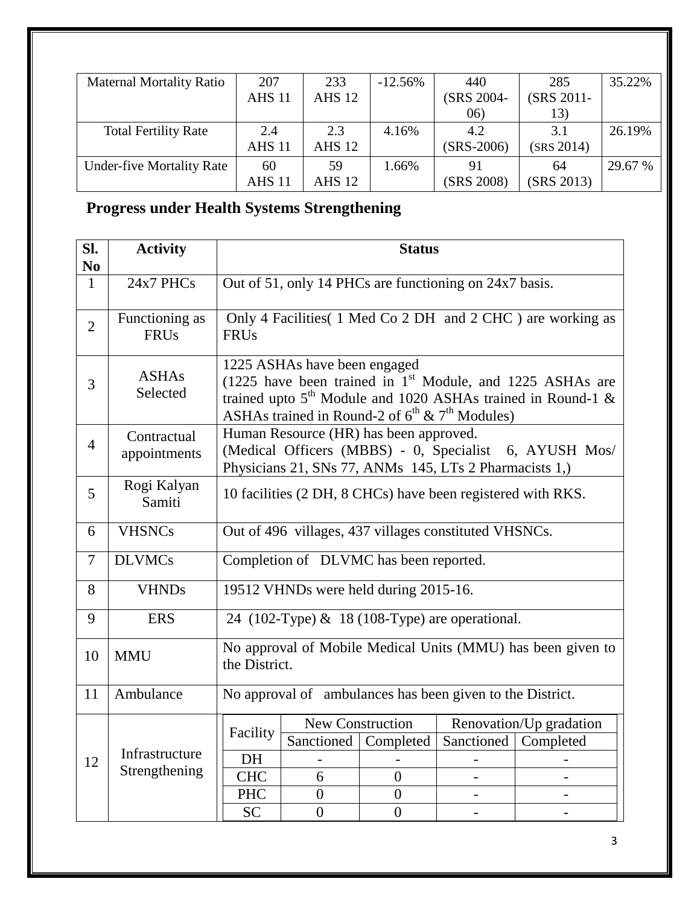| <b>Maternal Mortality Ratio</b>  | 207           | 233           | $-12.56%$ | 440          | 285        | 35.22%  |
|----------------------------------|---------------|---------------|-----------|--------------|------------|---------|
|                                  | <b>AHS 11</b> | <b>AHS 12</b> |           | (SRS 2004-   | (SRS 2011- |         |
|                                  |               |               |           | (06)         | 13)        |         |
| <b>Total Fertility Rate</b>      | 2.4           | 2.3           | 4.16%     | 4.2          | 3.1        | 26.19%  |
|                                  | <b>AHS 11</b> | <b>AHS 12</b> |           | $(SRS-2006)$ | (SRS 2014) |         |
| <b>Under-five Mortality Rate</b> | 60            | 59            | 1.66%     | 91           | 64         | 29.67 % |
|                                  | <b>AHS 11</b> | AHS 12        |           | (SRS 2008)   | (SRS 2013) |         |

**Progress under Health Systems Strengthening**

| SI.<br>N <sub>0</sub> | <b>Activity</b>               | <b>Status</b>                                                                                                                                                                                                                      |                                        |                                    |                                                        |                                                        |
|-----------------------|-------------------------------|------------------------------------------------------------------------------------------------------------------------------------------------------------------------------------------------------------------------------------|----------------------------------------|------------------------------------|--------------------------------------------------------|--------------------------------------------------------|
| $\mathbf{1}$          | 24x7 PHCs                     | Out of 51, only 14 PHCs are functioning on 24x7 basis.                                                                                                                                                                             |                                        |                                    |                                                        |                                                        |
| $\overline{2}$        | Functioning as<br><b>FRUs</b> | Only 4 Facilities (1 Med Co 2 DH and 2 CHC) are working as<br><b>FRUs</b>                                                                                                                                                          |                                        |                                    |                                                        |                                                        |
| 3                     | <b>ASHAs</b><br>Selected      | 1225 ASHAs have been engaged<br>(1225 have been trained in 1 <sup>st</sup> Module, and 1225 ASHAs are<br>trained upto $5th$ Module and 1020 ASHAs trained in Round-1 &<br>ASHAs trained in Round-2 of $6^{th}$ & $7^{th}$ Modules) |                                        |                                    |                                                        |                                                        |
| $\overline{4}$        | Contractual<br>appointments   |                                                                                                                                                                                                                                    | Human Resource (HR) has been approved. |                                    | Physicians 21, SNs 77, ANMs 145, LTs 2 Pharmacists 1,) | (Medical Officers (MBBS) - 0, Specialist 6, AYUSH Mos/ |
| 5                     | Rogi Kalyan<br>Samiti         | 10 facilities (2 DH, 8 CHCs) have been registered with RKS.                                                                                                                                                                        |                                        |                                    |                                                        |                                                        |
| 6                     | <b>VHSNCs</b>                 |                                                                                                                                                                                                                                    |                                        |                                    | Out of 496 villages, 437 villages constituted VHSNCs.  |                                                        |
| 7                     | <b>DLVMCs</b>                 |                                                                                                                                                                                                                                    | Completion of DLVMC has been reported. |                                    |                                                        |                                                        |
| 8                     | <b>VHNDs</b>                  |                                                                                                                                                                                                                                    | 19512 VHNDs were held during 2015-16.  |                                    |                                                        |                                                        |
| 9                     | <b>ERS</b>                    |                                                                                                                                                                                                                                    |                                        |                                    | 24 (102-Type) & 18 (108-Type) are operational.         |                                                        |
| 10                    | <b>MMU</b>                    | No approval of Mobile Medical Units (MMU) has been given to<br>the District.                                                                                                                                                       |                                        |                                    |                                                        |                                                        |
| 11                    | Ambulance                     | No approval of ambulances has been given to the District.                                                                                                                                                                          |                                        |                                    |                                                        |                                                        |
|                       |                               | New Construction<br>Renovation/Up gradation<br>Facility                                                                                                                                                                            |                                        |                                    |                                                        |                                                        |
|                       | Infrastructure                |                                                                                                                                                                                                                                    |                                        | Sanctioned   Completed             | Sanctioned                                             | Completed                                              |
| 12                    | Strengthening                 | <b>DH</b>                                                                                                                                                                                                                          |                                        |                                    |                                                        |                                                        |
|                       |                               | <b>CHC</b>                                                                                                                                                                                                                         | 6                                      | $\theta$                           |                                                        |                                                        |
|                       |                               | <b>PHC</b>                                                                                                                                                                                                                         | $\overline{0}$<br>$\overline{0}$       | $\overline{0}$<br>$\boldsymbol{0}$ |                                                        |                                                        |
|                       |                               | <b>SC</b>                                                                                                                                                                                                                          |                                        |                                    |                                                        |                                                        |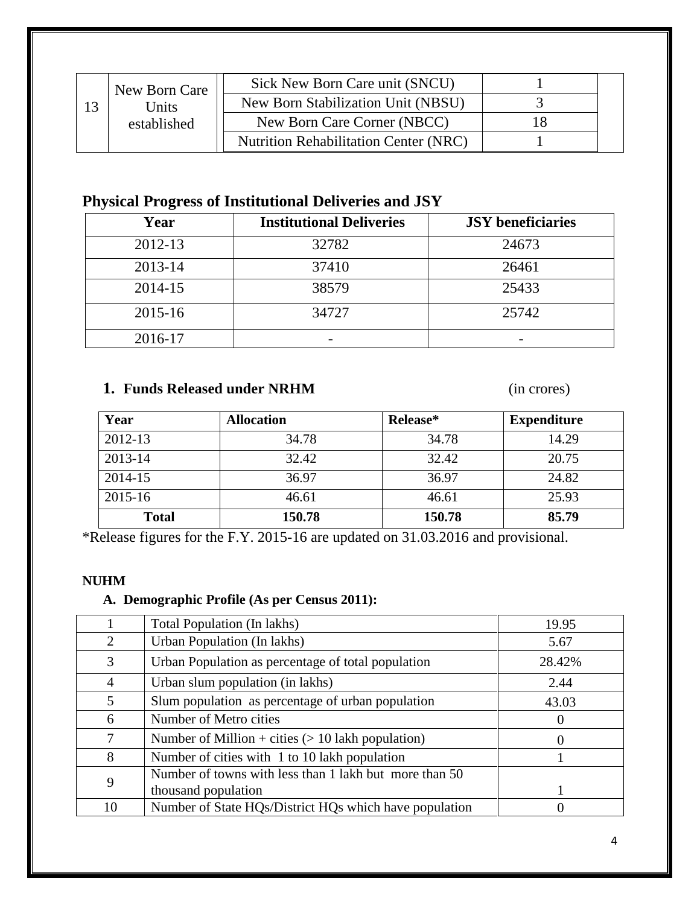| New Born Care | Sick New Born Care unit (SNCU)               |  |
|---------------|----------------------------------------------|--|
| <b>Jnits</b>  | New Born Stabilization Unit (NBSU)           |  |
| established   | New Born Care Corner (NBCC)                  |  |
|               | <b>Nutrition Rehabilitation Center (NRC)</b> |  |

# **Physical Progress of Institutional Deliveries and JSY**

| Year    | <b>Institutional Deliveries</b> | <b>JSY</b> beneficiaries |
|---------|---------------------------------|--------------------------|
| 2012-13 | 32782                           | 24673                    |
| 2013-14 | 37410                           | 26461                    |
| 2014-15 | 38579                           | 25433                    |
| 2015-16 | 34727                           | 25742                    |
| 2016-17 |                                 |                          |

## **1. Funds Released under NRHM** (in crores)

| Year         | <b>Allocation</b> | Release* | <b>Expenditure</b> |
|--------------|-------------------|----------|--------------------|
| 2012-13      | 34.78             | 34.78    | 14.29              |
| 2013-14      | 32.42             | 32.42    | 20.75              |
| 2014-15      | 36.97             | 36.97    | 24.82              |
| 2015-16      | 46.61             | 46.61    | 25.93              |
| <b>Total</b> | 150.78            | 150.78   | 85.79              |

\*Release figures for the F.Y. 2015-16 are updated on 31.03.2016 and provisional.

### **NUHM**

# **A. Demographic Profile (As per Census 2011):**

|                | Total Population (In lakhs)                            | 19.95  |
|----------------|--------------------------------------------------------|--------|
| $\overline{2}$ | Urban Population (In lakhs)                            | 5.67   |
| 3              | Urban Population as percentage of total population     | 28.42% |
| 4              | Urban slum population (in lakhs)                       | 2.44   |
| 5              | Slum population as percentage of urban population      | 43.03  |
| 6              | Number of Metro cities                                 |        |
| 7              | Number of Million + cities $(> 10$ lakh population)    |        |
| 8              | Number of cities with 1 to 10 lakh population          |        |
| 9              | Number of towns with less than 1 lakh but more than 50 |        |
|                | thousand population                                    |        |
| 10             | Number of State HQs/District HQs which have population |        |